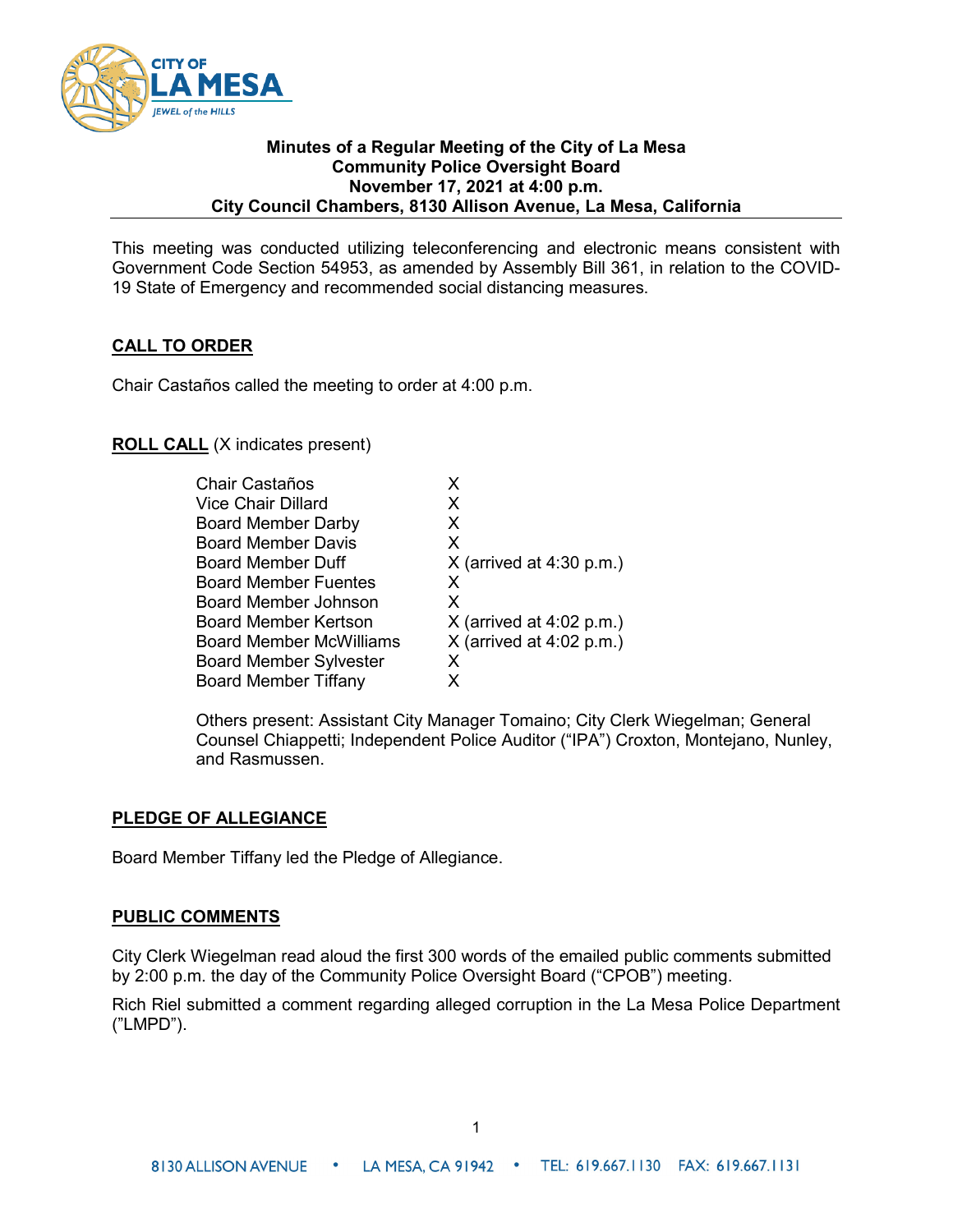

#### **Minutes of a Regular Meeting of the City of La Mesa Community Police Oversight Board November 17, 2021 at 4:00 p.m. City Council Chambers, 8130 Allison Avenue, La Mesa, California**

This meeting was conducted utilizing teleconferencing and electronic means consistent with Government Code Section 54953, as amended by Assembly Bill 361, in relation to the COVID-19 State of Emergency and recommended social distancing measures.

# **CALL TO ORDER**

Chair Castaños called the meeting to order at 4:00 p.m.

## **ROLL CALL** (X indicates present)

| <b>Chair Castaños</b>         | x                          |
|-------------------------------|----------------------------|
| <b>Vice Chair Dillard</b>     | X                          |
| <b>Board Member Darby</b>     | x                          |
| <b>Board Member Davis</b>     | X                          |
| Board Member Duff             | $X$ (arrived at 4:30 p.m.) |
| <b>Board Member Fuentes</b>   | X                          |
| Board Member Johnson          | X                          |
| Board Member Kertson          | $X$ (arrived at 4:02 p.m.) |
| Board Member McWilliams       | $X$ (arrived at 4:02 p.m.) |
| <b>Board Member Sylvester</b> | x                          |
| <b>Board Member Tiffany</b>   | x                          |

Others present: Assistant City Manager Tomaino; City Clerk Wiegelman; General Counsel Chiappetti; Independent Police Auditor ("IPA") Croxton, Montejano, Nunley, and Rasmussen.

### **PLEDGE OF ALLEGIANCE**

Board Member Tiffany led the Pledge of Allegiance.

#### **PUBLIC COMMENTS**

City Clerk Wiegelman read aloud the first 300 words of the emailed public comments submitted by 2:00 p.m. the day of the Community Police Oversight Board ("CPOB") meeting.

Rich Riel submitted a comment regarding alleged corruption in the La Mesa Police Department ("LMPD").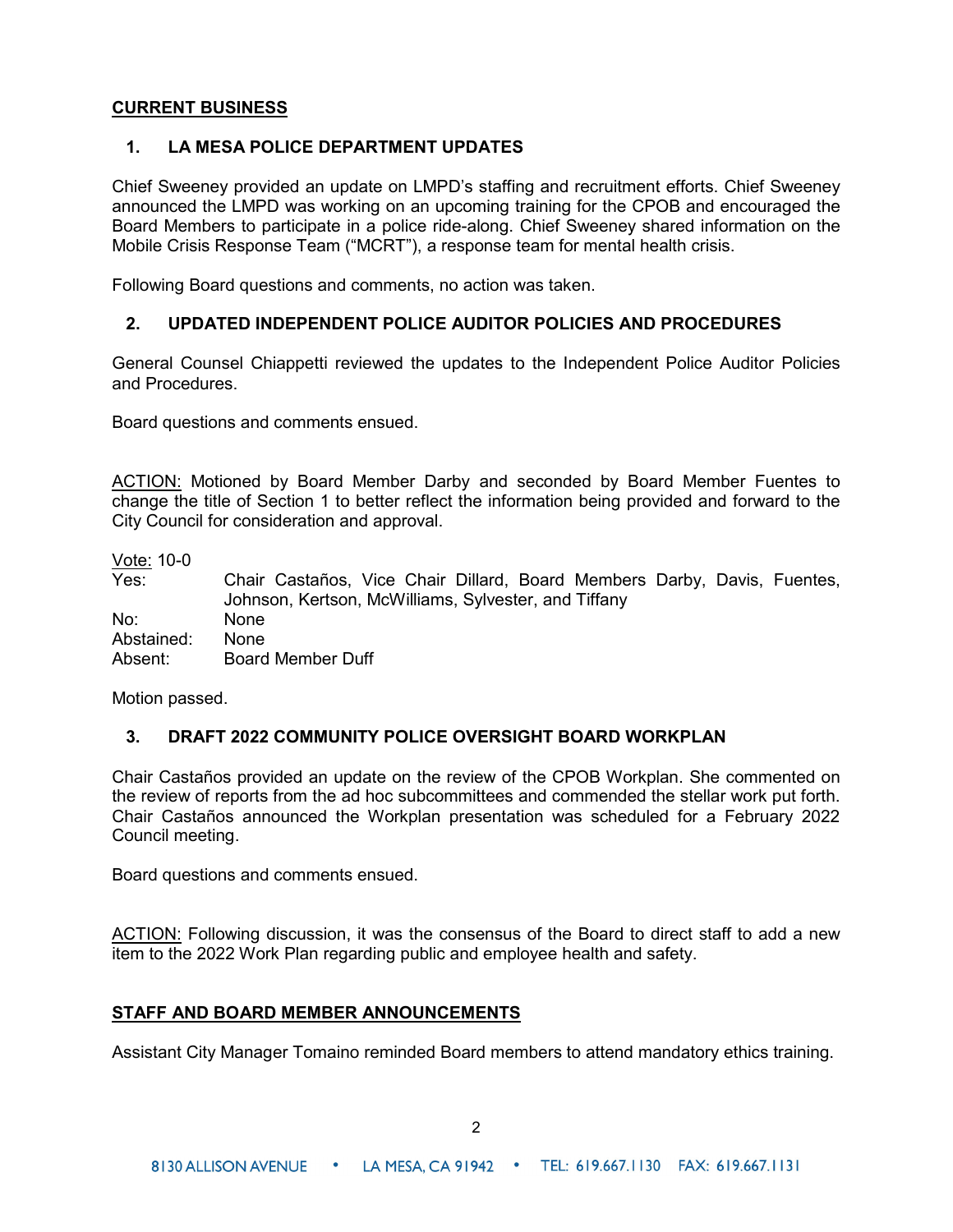### **CURRENT BUSINESS**

### **1. LA MESA POLICE DEPARTMENT UPDATES**

Chief Sweeney provided an update on LMPD's staffing and recruitment efforts. Chief Sweeney announced the LMPD was working on an upcoming training for the CPOB and encouraged the Board Members to participate in a police ride-along. Chief Sweeney shared information on the Mobile Crisis Response Team ("MCRT"), a response team for mental health crisis.

Following Board questions and comments, no action was taken.

### **2. UPDATED INDEPENDENT POLICE AUDITOR POLICIES AND PROCEDURES**

General Counsel Chiappetti reviewed the updates to the Independent Police Auditor Policies and Procedures.

Board questions and comments ensued.

ACTION: Motioned by Board Member Darby and seconded by Board Member Fuentes to change the title of Section 1 to better reflect the information being provided and forward to the City Council for consideration and approval.

Vote: 10-0

| Yes:       | Chair Castaños, Vice Chair Dillard, Board Members Darby, Davis, Fuentes,<br>Johnson, Kertson, McWilliams, Sylvester, and Tiffany |
|------------|----------------------------------------------------------------------------------------------------------------------------------|
| No:        | <b>None</b>                                                                                                                      |
| Abstained: | None                                                                                                                             |
| Absent:    | <b>Board Member Duff</b>                                                                                                         |

Motion passed.

### **3. DRAFT 2022 COMMUNITY POLICE OVERSIGHT BOARD WORKPLAN**

Chair Castaños provided an update on the review of the CPOB Workplan. She commented on the review of reports from the ad hoc subcommittees and commended the stellar work put forth. Chair Castaños announced the Workplan presentation was scheduled for a February 2022 Council meeting.

Board questions and comments ensued.

ACTION: Following discussion, it was the consensus of the Board to direct staff to add a new item to the 2022 Work Plan regarding public and employee health and safety.

### **STAFF AND BOARD MEMBER ANNOUNCEMENTS**

Assistant City Manager Tomaino reminded Board members to attend mandatory ethics training.